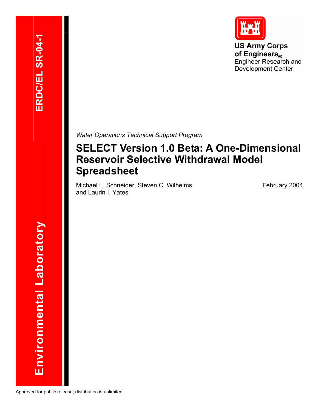**US Army Corps** of Engineers **Engineer Research and Development Center** 

*Water Operations Technical Support Program* 

### **SELECT Version 1.0 Beta: A One-Dimensional Reservoir Selective Withdrawal Model Spreadsheet**

Michael L. Schneider, Steven C. Wilhelms, and Laurin I. Yates

February 2004

**ERDC/EL SR-04-1** 

ERDC/EL SR-04-1

Approved for public release; distribution is unlimited.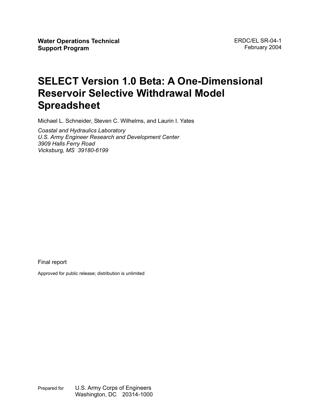### **SELECT Version 1.0 Beta: A One-Dimensional Reservoir Selective Withdrawal Model Spreadsheet**

Michael L. Schneider, Steven C. Wilhelms, and Laurin I. Yates

*Coastal and Hydraulics Laboratory U.S. Army Engineer Research and Development Center 3909 Halls Ferry Road Vicksburg, MS 39180-6199*

Final report

Approved for public release; distribution is unlimited

Prepared for U.S. Army Corps of Engineers Washington, DC 20314-1000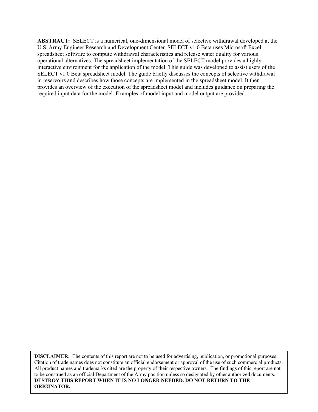**ABSTRACT:** SELECT is a numerical, one-dimensional model of selective withdrawal developed at the U.S. Army Engineer Research and Development Center. SELECT v1.0 Beta uses Microsoft Excel spreadsheet software to compute withdrawal characteristics and release water quality for various operational alternatives. The spreadsheet implementation of the SELECT model provides a highly interactive environment for the application of the model. This guide was developed to assist users of the SELECT v1.0 Beta spreadsheet model. The guide briefly discusses the concepts of selective withdrawal in reservoirs and describes how those concepts are implemented in the spreadsheet model. It then provides an overview of the execution of the spreadsheet model and includes guidance on preparing the required input data for the model. Examples of model input and model output are provided.

**DISCLAIMER:** The contents of this report are not to be used for advertising, publication, or promotional purposes. Citation of trade names does not constitute an official endorsement or approval of the use of such commercial products. All product names and trademarks cited are the property of their respective owners. The findings of this report are not to be construed as an official Department of the Army position unless so designated by other authorized documents. **DESTROY THIS REPORT WHEN IT IS NO LONGER NEEDED. DO NOT RETURN TO THE ORIGINATOR.**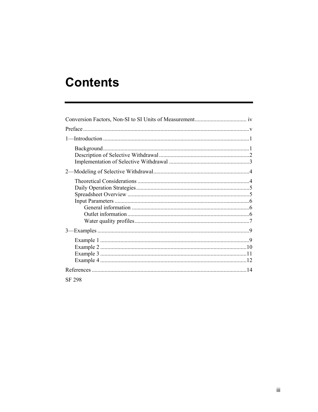# **Contents**

| $\sim$ $\sim$ $\sim$ $\sim$ |  |
|-----------------------------|--|

SF 298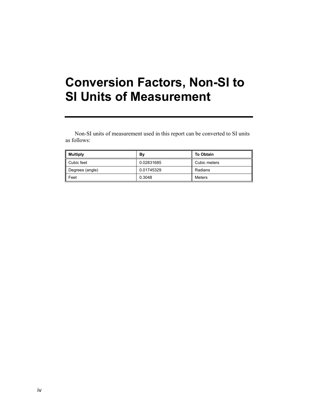# **Conversion Factors, Non-SI to SI Units of Measurement**

Non-SI units of measurement used in this report can be converted to SI units as follows:

| <b>Multiply</b> | B٧         | <b>To Obtain</b> |
|-----------------|------------|------------------|
| Cubic feet      | 0.02831685 | Cubic meters     |
| Degrees (angle) | 0.01745329 | Radians          |
| Feet            | 0.3048     | Meters           |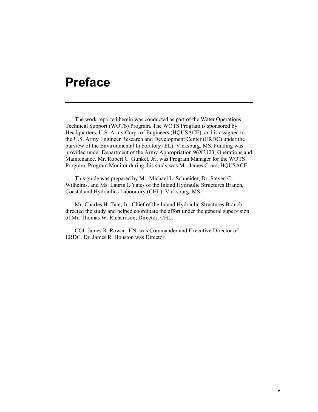### **Preface**

The work reported herein was conducted as part of the Water Operations Technical Support (WOTS) Program. The WOTS Program is sponsored by Headquarters, U.S. Army Corps of Engineers (HQUSACE), and is assigned to the U.S. Army Engineer Research and Development Center (ERDC) under the purview of the Environmental Laboratory (EL), Vicksburg, MS. Funding was provided under Department of the Army Appropriation 96X3123, Operations and Maintenance. Mr. Robert C. Gunkel, Jr., was Program Manager for the WOTS Program. Program Monitor during this study was Mr. James Crum, HQUSACE.

This guide was prepared by Mr. Michael L. Schneider, Dr. Steven C. Wilhelms, and Ms. Laurin I. Yates of the Inland Hydraulic Structures Branch, Coastal and Hydraulics Laboratory (CHL), Vicksburg, MS.

Mr. Charles H. Tate, Jr., Chief of the Inland Hydraulic Structures Branch directed the study and helped coordinate the effort under the general supervision of Mr. Thomas W. Richardson, Director, CHL.

COL James R. Rowan, EN, was Commander and Executive Director of ERDC. Dr. James R. Houston was Director.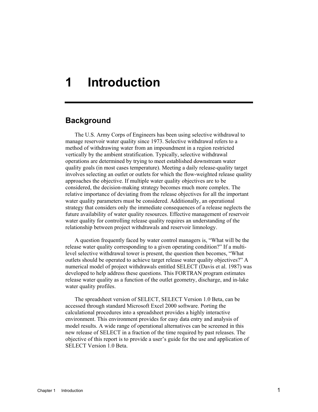## **1 Introduction**

### **Background**

The U.S. Army Corps of Engineers has been using selective withdrawal to manage reservoir water quality since 1973. Selective withdrawal refers to a method of withdrawing water from an impoundment in a region restricted vertically by the ambient stratification. Typically, selective withdrawal operations are determined by trying to meet established downstream water quality goals (in most cases temperature). Meeting a daily release-quality target involves selecting an outlet or outlets for which the flow-weighted release quality approaches the objective. If multiple water quality objectives are to be considered, the decision-making strategy becomes much more complex. The relative importance of deviating from the release objectives for all the important water quality parameters must be considered. Additionally, an operational strategy that considers only the immediate consequences of a release neglects the future availability of water quality resources. Effective management of reservoir water quality for controlling release quality requires an understanding of the relationship between project withdrawals and reservoir limnology.

A question frequently faced by water control managers is, "What will be the release water quality corresponding to a given operating condition?" If a multilevel selective withdrawal tower is present, the question then becomes, "What outlets should be operated to achieve target release water quality objectives?" A numerical model of project withdrawals entitled SELECT (Davis et al. 1987) was developed to help address these questions. This FORTRAN program estimates release water quality as a function of the outlet geometry, discharge, and in-lake water quality profiles.

The spreadsheet version of SELECT, SELECT Version 1.0 Beta, can be accessed through standard Microsoft Excel 2000 software. Porting the calculational procedures into a spreadsheet provides a highly interactive environment. This environment provides for easy data entry and analysis of model results. A wide range of operational alternatives can be screened in this new release of SELECT in a fraction of the time required by past releases. The objective of this report is to provide a user's guide for the use and application of SELECT Version 1.0 Beta.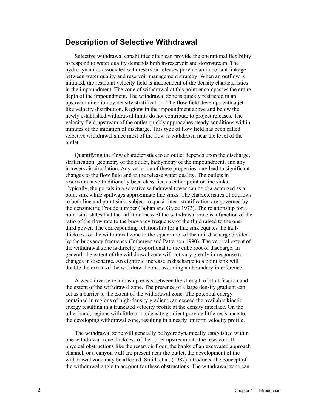#### **Description of Selective Withdrawal**

Selective withdrawal capabilities often can provide the operational flexibility to respond to water quality demands both in-reservoir and downstream. The hydrodynamics associated with reservoir releases provide an important linkage between water quality and reservoir management strategy. When an outflow is initiated, the resultant velocity field is independent of the density characteristics in the impoundment. The zone of withdrawal at this point encompasses the entire depth of the impoundment. The withdrawal zone is quickly restricted in an upstream direction by density stratification. The flow field develops with a jetlike velocity distribution. Regions in the impoundment above and below the newly established withdrawal limits do not contribute to project releases. The velocity field upstream of the outlet quickly approaches steady conditions within minutes of the initiation of discharge. This type of flow field has been called selective withdrawal since most of the flow is withdrawn near the level of the outlet.

Quantifying the flow characteristics to an outlet depends upon the discharge, stratification, geometry of the outlet, bathymetry of the impoundment, and any in-reservoir circulation. Any variation of these properties may lead to significant changes to the flow field and to the release water quality. The outlets in reservoirs have traditionally been classified as either point or line sinks. Typically, the portals in a selective withdrawal tower can be characterized as a point sink while spillways approximate line sinks. The characteristics of outflows to both line and point sinks subject to quasi-linear stratification are governed by the densimetric Froude number (Bohan and Grace 1973). The relationship for a point sink states that the half-thickness of the withdrawal zone is a function of the ratio of the flow rate to the buoyancy frequency of the fluid raised to the onethird power. The corresponding relationship for a line sink equates the halfthickness of the withdrawal zone to the square root of the unit discharge divided by the buoyancy frequency (Imberger and Patterson 1990). The vertical extent of the withdrawal zone is directly proportional to the cube root of discharge. In general, the extent of the withdrawal zone will not vary greatly in response to changes in discharge. An eightfold increase in discharge to a point sink will double the extent of the withdrawal zone, assuming no boundary interference.

A weak inverse relationship exists between the strength of stratification and the extent of the withdrawal zone. The presence of a large density gradient can act as a barrier to the extent of the withdrawal zone. The potential energy contained in regions of high-density gradient can exceed the available kinetic energy resulting in a truncated velocity profile at the density interface. On the other hand, regions with little or no density gradient provide little resistance to the developing withdrawal zone, resulting in a nearly uniform velocity profile.

The withdrawal zone will generally be hydrodynamically established within one withdrawal zone thickness of the outlet upstream into the reservoir. If physical obstructions like the reservoir floor, the banks of an excavated approach channel, or a canyon wall are present near the outlet, the development of the withdrawal zone may be affected. Smith et al. (1987) introduced the concept of the withdrawal angle to account for these obstructions. The withdrawal zone can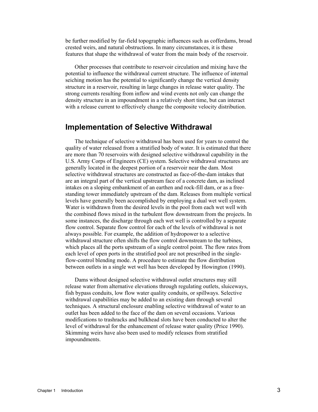be further modified by far-field topographic influences such as cofferdams, broad crested weirs, and natural obstructions. In many circumstances, it is these features that shape the withdrawal of water from the main body of the reservoir.

Other processes that contribute to reservoir circulation and mixing have the potential to influence the withdrawal current structure. The influence of internal seiching motion has the potential to significantly change the vertical density structure in a reservoir, resulting in large changes in release water quality. The strong currents resulting from inflow and wind events not only can change the density structure in an impoundment in a relatively short time, but can interact with a release current to effectively change the composite velocity distribution.

#### **Implementation of Selective Withdrawal**

The technique of selective withdrawal has been used for years to control the quality of water released from a stratified body of water. It is estimated that there are more than 70 reservoirs with designed selective withdrawal capability in the U.S. Army Corps of Engineers (CE) system. Selective withdrawal structures are generally located in the deepest portion of a reservoir near the dam. Most selective withdrawal structures are constructed as face-of-the-dam intakes that are an integral part of the vertical upstream face of a concrete dam, as inclined intakes on a sloping embankment of an earthen and rock-fill dam, or as a freestanding tower immediately upstream of the dam. Releases from multiple vertical levels have generally been accomplished by employing a dual wet well system. Water is withdrawn from the desired levels in the pool from each wet well with the combined flows mixed in the turbulent flow downstream from the projects. In some instances, the discharge through each wet well is controlled by a separate flow control. Separate flow control for each of the levels of withdrawal is not always possible. For example, the addition of hydropower to a selective withdrawal structure often shifts the flow control downstream to the turbines, which places all the ports upstream of a single control point. The flow rates from each level of open ports in the stratified pool are not prescribed in the singleflow-control blending mode. A procedure to estimate the flow distribution between outlets in a single wet well has been developed by Howington (1990).

Dams without designed selective withdrawal outlet structures may still release water from alternative elevations through regulating outlets, sluiceways, fish bypass conduits, low flow water quality conduits, or spillways. Selective withdrawal capabilities may be added to an existing dam through several techniques. A structural enclosure enabling selective withdrawal of water to an outlet has been added to the face of the dam on several occasions. Various modifications to trashracks and bulkhead slots have been conducted to alter the level of withdrawal for the enhancement of release water quality (Price 1990). Skimming weirs have also been used to modify releases from stratified impoundments.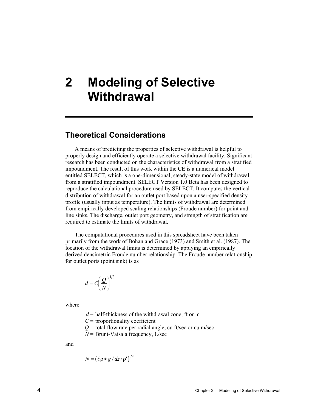## **2 Modeling of Selective Withdrawal**

#### **Theoretical Considerations**

A means of predicting the properties of selective withdrawal is helpful to properly design and efficiently operate a selective withdrawal facility. Significant research has been conducted on the characteristics of withdrawal from a stratified impoundment. The result of this work within the CE is a numerical model entitled SELECT, which is a one-dimensional, steady-state model of withdrawal from a stratified impoundment. SELECT Version 1.0 Beta has been designed to reproduce the calculational procedure used by SELECT. It computes the vertical distribution of withdrawal for an outlet port based upon a user-specified density profile (usually input as temperature). The limits of withdrawal are determined from empirically developed scaling relationships (Froude number) for point and line sinks. The discharge, outlet port geometry, and strength of stratification are required to estimate the limits of withdrawal.

The computational procedures used in this spreadsheet have been taken primarily from the work of Bohan and Grace (1973) and Smith et al. (1987). The location of the withdrawal limits is determined by applying an empirically derived densimetric Froude number relationship. The Froude number relationship for outlet ports (point sink) is as

$$
d = C \left(\frac{Q}{N}\right)^{1/3}
$$

where

 $d =$  half-thickness of the withdrawal zone, ft or m

*C* = proportionality coefficient

 $Q =$  total flow rate per radial angle, cu ft/sec or cu m/sec

 $N =$  Brunt-Vaisala frequency, L/sec

and

$$
N = \left(\partial \rho * g / dz / \rho'\right)^{1/2}
$$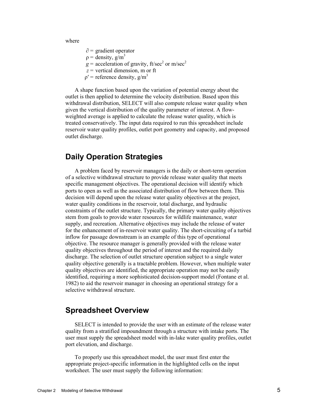where

 $\partial$  = gradient operator  $p =$  density,  $g/m<sup>3</sup>$  $g =$  acceleration of gravity, ft/sec<sup>2</sup> or m/sec<sup>2</sup> *z* = vertical dimension, m or ft  $p'$  = reference density, g/m<sup>3</sup>

A shape function based upon the variation of potential energy about the outlet is then applied to determine the velocity distribution. Based upon this withdrawal distribution, SELECT will also compute release water quality when given the vertical distribution of the quality parameter of interest. A flowweighted average is applied to calculate the release water quality, which is treated conservatively. The input data required to run this spreadsheet include reservoir water quality profiles, outlet port geometry and capacity, and proposed outlet discharge.

#### **Daily Operation Strategies**

A problem faced by reservoir managers is the daily or short-term operation of a selective withdrawal structure to provide release water quality that meets specific management objectives. The operational decision will identify which ports to open as well as the associated distribution of flow between them. This decision will depend upon the release water quality objectives at the project, water quality conditions in the reservoir, total discharge, and hydraulic constraints of the outlet structure. Typically, the primary water quality objectives stem from goals to provide water resources for wildlife maintenance, water supply, and recreation. Alternative objectives may include the release of water for the enhancement of in-reservoir water quality. The short-circuiting of a turbid inflow for passage downstream is an example of this type of operational objective. The resource manager is generally provided with the release water quality objectives throughout the period of interest and the required daily discharge. The selection of outlet structure operation subject to a single water quality objective generally is a tractable problem. However, when multiple water quality objectives are identified, the appropriate operation may not be easily identified, requiring a more sophisticated decision-support model (Fontane et al. 1982) to aid the reservoir manager in choosing an operational strategy for a selective withdrawal structure.

#### **Spreadsheet Overview**

SELECT is intended to provide the user with an estimate of the release water quality from a stratified impoundment through a structure with intake ports. The user must supply the spreadsheet model with in-lake water quality profiles, outlet port elevation, and discharge.

To properly use this spreadsheet model, the user must first enter the appropriate project-specific information in the highlighted cells on the input worksheet. The user must supply the following information: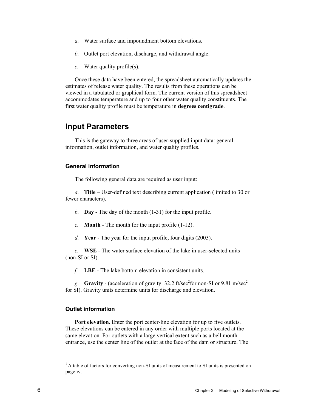- *a.* Water surface and impoundment bottom elevations.
- *b.* Outlet port elevation, discharge, and withdrawal angle.
- *c.* Water quality profile(s).

Once these data have been entered, the spreadsheet automatically updates the estimates of release water quality. The results from these operations can be viewed in a tabulated or graphical form. The current version of this spreadsheet accommodates temperature and up to four other water quality constituents. The first water quality profile must be temperature in **degrees centigrade**.

#### **Input Parameters**

This is the gateway to three areas of user-supplied input data: general information, outlet information, and water quality profiles.

#### **General information**

The following general data are required as user input:

*a.* **Title** – User-defined text describing current application (limited to 30 or fewer characters).

- *b.* **Day** The day of the month (1-31) for the input profile.
- *c.* **Month** The month for the input profile (1-12).
- *d.* **Year** The year for the input profile, four digits (2003).

*e.* **WSE** - The water surface elevation of the lake in user-selected units (non-SI or SI).

*f.* **LBE** - The lake bottom elevation in consistent units.

*g.* Gravity - (acceleration of gravity:  $32.2$  ft/sec<sup>2</sup> for non-SI or  $9.81$  m/sec<sup>2</sup> for SI). Gravity units determine units for discharge and elevation.<sup>1</sup>

#### **Outlet information**

**Port elevation.** Enter the port center-line elevation for up to five outlets. These elevations can be entered in any order with multiple ports located at the same elevation. For outlets with a large vertical extent such as a bell mouth entrance, use the center line of the outlet at the face of the dam or structure. The

l

<sup>&</sup>lt;sup>1</sup> A table of factors for converting non-SI units of measurement to SI units is presented on page iv.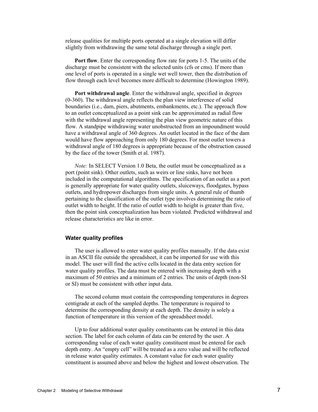release qualities for multiple ports operated at a single elevation will differ slightly from withdrawing the same total discharge through a single port.

**Port flow**. Enter the corresponding flow rate for ports 1-5. The units of the discharge must be consistent with the selected units (cfs or cms). If more than one level of ports is operated in a single wet well tower, then the distribution of flow through each level becomes more difficult to determine (Howington 1989).

**Port withdrawal angle**. Enter the withdrawal angle, specified in degrees (0-360). The withdrawal angle reflects the plan view interference of solid boundaries (i.e., dam, piers, abutments, embankments, etc.). The approach flow to an outlet conceptualized as a point sink can be approximated as radial flow with the withdrawal angle representing the plan view geometric nature of this flow. A standpipe withdrawing water unobstructed from an impoundment would have a withdrawal angle of 360 degrees. An outlet located in the face of the dam would have flow approaching from only 180 degrees. For most outlet towers a withdrawal angle of 180 degrees is appropriate because of the obstruction caused by the face of the tower (Smith et al. 1987).

*Note:* In SELECT Version 1.0 Beta, the outlet must be conceptualized as a port (point sink). Other outlets, such as weirs or line sinks, have not been included in the computational algorithms. The specification of an outlet as a port is generally appropriate for water quality outlets, sluiceways, floodgates, bypass outlets, and hydropower discharges from single units. A general rule of thumb pertaining to the classification of the outlet type involves determining the ratio of outlet width to height. If the ratio of outlet width to height is greater than five, then the point sink conceptualization has been violated. Predicted withdrawal and release characteristics are like in error.

#### **Water quality profiles**

The user is allowed to enter water quality profiles manually. If the data exist in an ASCII file outside the spreadsheet, it can be imported for use with this model. The user will find the active cells located in the data entry section for water quality profiles. The data must be entered with increasing depth with a maximum of 50 entries and a minimum of 2 entries. The units of depth (non-SI or SI) must be consistent with other input data.

The second column must contain the corresponding temperatures in degrees centigrade at each of the sampled depths. The temperature is required to determine the corresponding density at each depth. The density is solely a function of temperature in this version of the spreadsheet model.

Up to four additional water quality constituents can be entered in this data section. The label for each column of data can be entered by the user. A corresponding value of each water quality constituent must be entered for each depth entry. An "empty cell" will be treated as a zero value and will be reflected in release water quality estimates. A constant value for each water quality constituent is assumed above and below the highest and lowest observation. The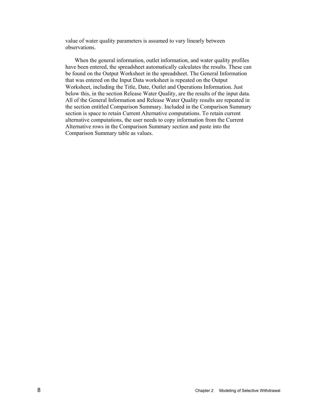value of water quality parameters is assumed to vary linearly between observations.

When the general information, outlet information, and water quality profiles have been entered, the spreadsheet automatically calculates the results. These can be found on the Output Worksheet in the spreadsheet. The General Information that was entered on the Input Data worksheet is repeated on the Output Worksheet, including the Title, Date, Outlet and Operations Information. Just below this, in the section Release Water Quality, are the results of the input data. All of the General Information and Release Water Quality results are repeated in the section entitled Comparison Summary. Included in the Comparison Summary section is space to retain Current Alternative computations. To retain current alternative computations, the user needs to copy information from the Current Alternative rows in the Comparison Summary section and paste into the Comparison Summary table as values.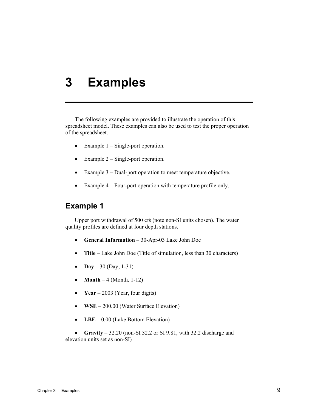## **3 Examples**

The following examples are provided to illustrate the operation of this spreadsheet model. These examples can also be used to test the proper operation of the spreadsheet.

- Example  $1 -$  Single-port operation.
- Example  $2 -$  Single-port operation.
- Example 3 Dual-port operation to meet temperature objective.
- Example 4 Four-port operation with temperature profile only.

#### **Example 1**

Upper port withdrawal of 500 cfs (note non-SI units chosen). The water quality profiles are defined at four depth stations.

- **General Information** 30-Apr-03 Lake John Doe
- **Title** Lake John Doe (Title of simulation, less than 30 characters)
- **Day** 30 (Day, 1-31)
- **Month**  $-4$  (Month, 1-12)
- **Year** 2003 (Year, four digits)
- **WSE** 200.00 (Water Surface Elevation)
- **LBE** 0.00 (Lake Bottom Elevation)

• **Gravity** – 32.20 (non-SI 32.2 or SI 9.81, with 32.2 discharge and elevation units set as non-SI)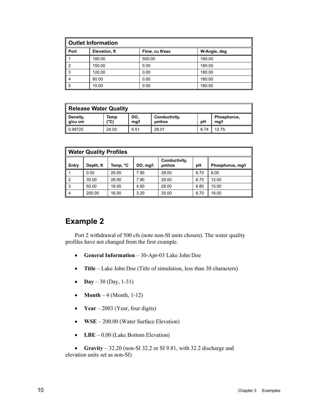| <b>Outlet Information</b> |               |                 |              |  |  |
|---------------------------|---------------|-----------------|--------------|--|--|
| Port                      | Elevation, ft | Flow, cu ft/sec | W-Angle, deg |  |  |
|                           | 180.00        | 500.00          | 180.00       |  |  |
| I<br>2                    | 150.00        | 0.00            | 180.00       |  |  |
| I<br>3                    | 120.00        | 0.00            | 180.00       |  |  |
| I<br>4                    | 80.00         | 0.00            | 180.00       |  |  |
| I<br>5                    | 10.00         | 0.00            | 180.00       |  |  |

| Release Water Quality |              |             |                        |      |                     |
|-----------------------|--------------|-------------|------------------------|------|---------------------|
| Density,<br>g/cu cm   | Temp<br>(°C) | DO.<br>mq/l | Conductivity,<br>umhos | рH   | Phosphorus,<br>mq/l |
| 0.99725               | 24.03        | 6.51        | 28.01                  | 6.74 | 12.75               |

| <b>Water Quality Profiles</b> |           |          |          |                        |      |                  |
|-------------------------------|-----------|----------|----------|------------------------|------|------------------|
| Entry                         | Depth, ft | Temp, °C | DO, mg/l | Conductivity,<br>umhos | рH   | Phosphorus, mg/l |
|                               | 0.00      | 29.00    | 7.90     | 28.00                  | 6.70 | 8.00             |
| II.<br>$\overline{2}$         | 30.00     | 28.00    | 7.90     | 28.00                  | 6.70 | 12.00            |
| II<br>3                       | 60.00     | 18.00    | 4.50     | 28.00                  | 6.80 | 15.00            |
| $\overline{4}$                | 200.00    | 16.00    | 3.20     | 35.00                  | 6.70 | 18.00            |

### **Example 2**

Port 2 withdrawal of 500 cfs (note non-SI units chosen). The water quality profiles have not changed from the first example.

- **General Information** 30-Apr-03 Lake John Doe
- **Title** Lake John Doe (Title of simulation, less than 30 characters)
- **Day** 30 (Day, 1-31)
- **Month**  $-4$  (Month, 1-12)
- **Year** 2003 (Year, four digits)
- **WSE** 200.00 (Water Surface Elevation)
- **LBE** 0.00 (Lake Bottom Elevation)

• **Gravity** – 32.20 (non-SI 32.2 or SI 9.81, with 32.2 discharge and elevation units set as non-SI)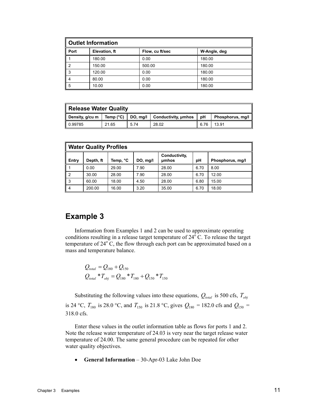| <b>Outlet Information</b> |               |                 |              |  |  |
|---------------------------|---------------|-----------------|--------------|--|--|
| Port                      | Elevation, ft | Flow, cu ft/sec | W-Angle, deg |  |  |
|                           | 180.00        | 0.00            | 180.00       |  |  |
| I<br>2                    | 150.00        | 500.00          | 180.00       |  |  |
| I<br>3                    | 120.00        | 0.00            | 180.00       |  |  |
| I<br>4                    | 80.00         | 0.00            | 180.00       |  |  |
| I<br>5                    | 10.00         | 0.00            | 180.00       |  |  |

| Release Water Quality |                    |          |                     |      |                  |
|-----------------------|--------------------|----------|---------------------|------|------------------|
| Density, g/cu m       | Temp $(^{\circ}C)$ | DO, mg/l | Conductivity, umhos | рH   | Phosphorus, mg/l |
| $\big  0.99785$       | 21.65              | 5.74     | 28.02               | 6.76 | 13.91            |

| <b>Water Quality Profiles</b> |           |          |          |                        |      |                  |
|-------------------------------|-----------|----------|----------|------------------------|------|------------------|
| Entry                         | Depth, ft | Temp, °C | DO, mg/l | Conductivity,<br>umhos | pН   | Phosphorus, mg/l |
|                               | 0.00      | 29.00    | 7.90     | 28.00                  | 6.70 | 8.00             |
| 2                             | 30.00     | 28.00    | 7.90     | 28.00                  | 6.70 | 12.00            |
| $\mathsf I$<br>3              | 60.00     | 18.00    | 4.50     | 28.00                  | 6.80 | 15.00            |
| $\overline{4}$                | 200.00    | 16.00    | 3.20     | 35.00                  | 6.70 | 18.00            |

### **Example 3**

Information from Examples 1 and 2 can be used to approximate operating conditions resulting in a release target temperature of  $24^{\circ}$  C. To release the target temperature of  $24^{\circ}$ C, the flow through each port can be approximated based on a mass and temperature balance.

$$
Q_{total} = Q_{180} + Q_{150}
$$
  

$$
Q_{total} * T_{obj} = Q_{180} * T_{180} + Q_{150} * T_{150}
$$

Substituting the following values into these equations,  $Q_{total}$  is 500 cfs,  $T_{obj}$ is 24 °C,  $T_{180}$  is 28.0 °C, and  $T_{150}$  is 21.8 °C, gives  $Q_{180} = 182.0$  cfs and  $Q_{150} =$ 318.0 cfs.

Enter these values in the outlet information table as flows for ports 1 and 2. Note the release water temperature of 24.03 is very near the target release water temperature of 24.00. The same general procedure can be repeated for other water quality objectives.

• **General Information** – 30-Apr-03 Lake John Doe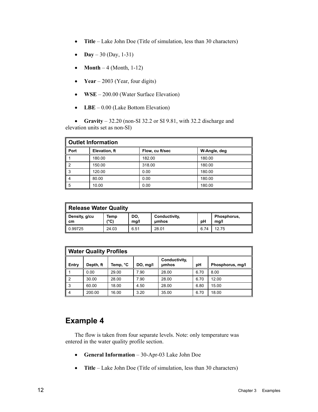- **Title** Lake John Doe (Title of simulation, less than 30 characters)
- **Day** 30 (Day, 1-31)
- **Month**  $-4$  (Month, 1-12)
- **Year** 2003 (Year, four digits)
- **WSE** 200.00 (Water Surface Elevation)
- **LBE** 0.00 (Lake Bottom Elevation)

• **Gravity** – 32.20 (non-SI 32.2 or SI 9.81, with 32.2 discharge and elevation units set as non-SI)

| <b>Outlet Information</b> |               |                 |              |  |  |
|---------------------------|---------------|-----------------|--------------|--|--|
| Port                      | Elevation, ft | Flow, cu ft/sec | W-Angle, deg |  |  |
|                           | 180.00        | 182.00          | 180.00       |  |  |
|                           | 150.00        | 318.00          | 180.00       |  |  |
| 3                         | 120.00        | 0.00            | 180.00       |  |  |
| 4                         | 80.00         | 0.00            | 180.00       |  |  |
| 5                         | 10.00         | 0.00            | 180.00       |  |  |

| Release Water Quality |              |             |                        |      |                     |
|-----------------------|--------------|-------------|------------------------|------|---------------------|
| Density, g/cu<br>cm   | Temp<br>(°C) | DO.<br>mq/l | Conductivity,<br>umhos | рH   | Phosphorus,<br>mq/l |
| 0.99725               | 24.03        | 6.51        | 28.01                  | 6.74 | 12.75               |

| <b>Water Quality Profiles</b> |           |          |          |                        |      |                  |
|-------------------------------|-----------|----------|----------|------------------------|------|------------------|
| Entry                         | Depth, ft | Temp, °C | DO, mg/l | Conductivity,<br>umhos | рH   | Phosphorus, mg/l |
|                               | 0.00      | 29.00    | 7.90     | 28.00                  | 6.70 | 8.00             |
| $\overline{2}$                | 30.00     | 28.00    | 7.90     | 28.00                  | 6.70 | 12.00            |
| 3                             | 60.00     | 18.00    | 4.50     | 28.00                  | 6.80 | 15.00            |
| 4                             | 200.00    | 16.00    | 3.20     | 35.00                  | 6.70 | 18.00            |

### **Example 4**

The flow is taken from four separate levels. Note: only temperature was entered in the water quality profile section.

- **General Information** 30-Apr-03 Lake John Doe
- **Title** Lake John Doe (Title of simulation, less than 30 characters)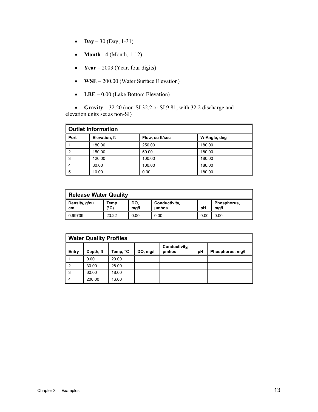- **Day** 30 (Day, 1-31)
- **Month** 4 (Month, 1-12)
- **Year** 2003 (Year, four digits)
- **WSE** 200.00 (Water Surface Elevation)
- **LBE** 0.00 (Lake Bottom Elevation)

• **Gravity –** 32.20 (non-SI 32.2 or SI 9.81, with 32.2 discharge and elevation units set as non-SI)

| <b>Outlet Information</b> |               |                 |              |  |  |
|---------------------------|---------------|-----------------|--------------|--|--|
| Port                      | Elevation, ft | Flow, cu ft/sec | W-Angle, deg |  |  |
|                           | 180.00        | 250.00          | 180.00       |  |  |
|                           | 150.00        | 50.00           | 180.00       |  |  |
| 3                         | 120.00        | 100.00          | 180.00       |  |  |
| 4                         | 80.00         | 100.00          | 180.00       |  |  |
| 5                         | 10.00         | 0.00            | 180.00       |  |  |

| Release Water Quality |              |             |                        |      |                     |  |  |
|-----------------------|--------------|-------------|------------------------|------|---------------------|--|--|
| Density, g/cu<br>cm   | Temp<br>(°C) | DO.<br>mq/l | Conductivity,<br>umhos | рH   | Phosphorus,<br>mq/l |  |  |
| 0.99739               | 23.22        | 0.00        | 0.00                   | 0.00 | 0.00                |  |  |

| <b>Water Quality Profiles</b> |           |          |          |                        |    |                  |  |
|-------------------------------|-----------|----------|----------|------------------------|----|------------------|--|
| Entry                         | Depth, ft | Temp, °C | DO, mg/l | Conductivity,<br>umhos | pH | Phosphorus, mg/l |  |
|                               | 0.00      | 29.00    |          |                        |    |                  |  |
| 2                             | 30.00     | 28.00    |          |                        |    |                  |  |
| 3                             | 60.00     | 18.00    |          |                        |    |                  |  |
|                               | 200.00    | 16.00    |          |                        |    |                  |  |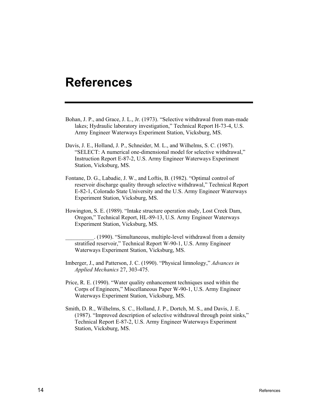### **References**

- Bohan, J. P., and Grace, J. L., Jr. (1973). "Selective withdrawal from man-made lakes; Hydraulic laboratory investigation," Technical Report H-73-4, U.S. Army Engineer Waterways Experiment Station, Vicksburg, MS.
- Davis, J. E., Holland, J. P., Schneider, M. L., and Wilhelms, S. C. (1987). "SELECT: A numerical one-dimensional model for selective withdrawal," Instruction Report E-87-2, U.S. Army Engineer Waterways Experiment Station, Vicksburg, MS.
- Fontane, D. G., Labadie, J. W., and Loftis, B. (1982). "Optimal control of reservoir discharge quality through selective withdrawal," Technical Report E-82-1, Colorado State University and the U.S. Army Engineer Waterways Experiment Station, Vicksburg, MS.
- Howington, S. E. (1989). "Intake structure operation study, Lost Creek Dam, Oregon," Technical Report, HL-89-13, U.S. Army Engineer Waterways Experiment Station, Vicksburg, MS.

\_\_\_\_\_\_\_\_\_\_. (1990). "Simultaneous, multiple-level withdrawal from a density stratified reservoir," Technical Report W-90-1, U.S. Army Engineer Waterways Experiment Station, Vicksburg, MS.

- Imberger, J., and Patterson, J. C. (1990). "Physical limnology," *Advances in Applied Mechanics* 27, 303-475.
- Price, R. E. (1990). "Water quality enhancement techniques used within the Corps of Engineers," Miscellaneous Paper W-90-1, U.S. Army Engineer Waterways Experiment Station, Vicksburg, MS.
- Smith, D. R., Wilhelms, S. C., Holland, J. P., Dortch, M. S., and Davis, J. E. (1987). "Improved description of selective withdrawal through point sinks," Technical Report E-87-2, U.S. Army Engineer Waterways Experiment Station, Vicksburg, MS.